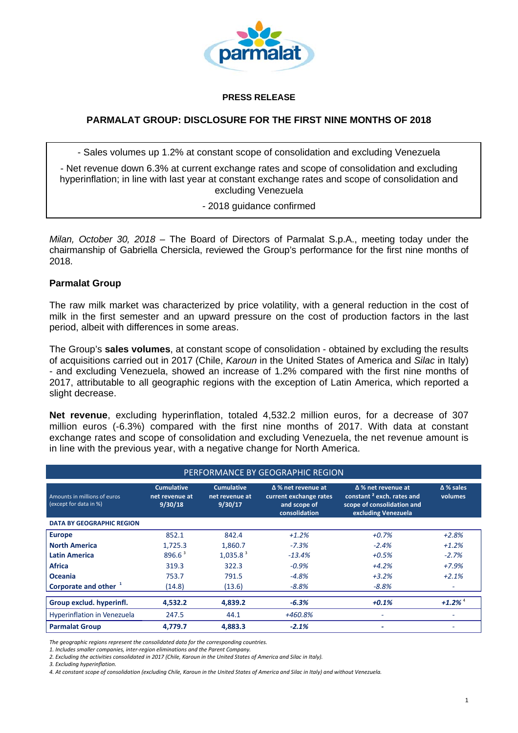

#### **PRESS RELEASE**

## **PARMALAT GROUP: DISCLOSURE FOR THE FIRST NINE MONTHS OF 2018**

- Sales volumes up 1.2% at constant scope of consolidation and excluding Venezuela

- Net revenue down 6.3% at current exchange rates and scope of consolidation and excluding hyperinflation; in line with last year at constant exchange rates and scope of consolidation and excluding Venezuela

*-* 2018 guidance confirmed

*Milan, October 30, 2018* – The Board of Directors of Parmalat S.p.A., meeting today under the chairmanship of Gabriella Chersicla, reviewed the Group's performance for the first nine months of 2018.

### **Parmalat Group**

The raw milk market was characterized by price volatility, with a general reduction in the cost of milk in the first semester and an upward pressure on the cost of production factors in the last period, albeit with differences in some areas.

The Group's **sales volumes**, at constant scope of consolidation - obtained by excluding the results of acquisitions carried out in 2017 (Chile, *Karoun* in the United States of America and *Silac* in Italy) - and excluding Venezuela, showed an increase of 1.2% compared with the first nine months of 2017, attributable to all geographic regions with the exception of Latin America, which reported a slight decrease.

**Net revenue**, excluding hyperinflation, totaled 4,532.2 million euros, for a decrease of 307 million euros (-6.3%) compared with the first nine months of 2017. With data at constant exchange rates and scope of consolidation and excluding Venezuela, the net revenue amount is in line with the previous year, with a negative change for North America.

| PERFORMANCE BY GEOGRAPHIC REGION                       |                                                |                                                |                                                                                      |                                                                                                                         |                             |
|--------------------------------------------------------|------------------------------------------------|------------------------------------------------|--------------------------------------------------------------------------------------|-------------------------------------------------------------------------------------------------------------------------|-----------------------------|
| Amounts in millions of euros<br>(except for data in %) | <b>Cumulative</b><br>net revenue at<br>9/30/18 | <b>Cumulative</b><br>net revenue at<br>9/30/17 | $\Delta$ % net revenue at<br>current exchange rates<br>and scope of<br>consolidation | $\Delta$ % net revenue at<br>constant <sup>2</sup> exch. rates and<br>scope of consolidation and<br>excluding Venezuela | $\Delta$ % sales<br>volumes |
| <b>DATA BY GEOGRAPHIC REGION</b>                       |                                                |                                                |                                                                                      |                                                                                                                         |                             |
| <b>Europe</b>                                          | 852.1                                          | 842.4                                          | $+1.2%$                                                                              | $+0.7%$                                                                                                                 | $+2.8%$                     |
| <b>North America</b>                                   | 1,725.3                                        | 1,860.7                                        | $-7.3%$                                                                              | $-2.4%$                                                                                                                 | $+1.2%$                     |
| Latin America                                          | 896.6 <sup>3</sup>                             | $1,035.8^3$                                    | $-13.4%$                                                                             | $+0.5%$                                                                                                                 | $-2.7%$                     |
| <b>Africa</b>                                          | 319.3                                          | 322.3                                          | $-0.9%$                                                                              | $+4.2%$                                                                                                                 | $+7.9%$                     |
| Oceania                                                | 753.7                                          | 791.5                                          | $-4.8%$                                                                              | $+3.2%$                                                                                                                 | $+2.1%$                     |
| Corporate and other <sup>1</sup>                       | (14.8)                                         | (13.6)                                         | $-8.8%$                                                                              | $-8.8%$                                                                                                                 |                             |
| Group exclud. hyperinfl.                               | 4,532.2                                        | 4,839.2                                        | $-6.3%$                                                                              | $+0.1%$                                                                                                                 | $+1.2\%$ <sup>4</sup>       |
| <b>Hyperinflation in Venezuela</b>                     | 247.5                                          | 44.1                                           | +460.8%                                                                              |                                                                                                                         |                             |
| <b>Parmalat Group</b>                                  | 4,779.7                                        | 4,883.3                                        | $-2.1%$                                                                              | ٠                                                                                                                       |                             |

*The geographic regions represent the consolidated data for the corresponding countries.*

*1. Includes smaller companies, inter‐region eliminations and the Parent Company.*

2. Excluding the activities consolidated in 2017 (Chile, Karoun in the United States of America and Silac in Italy).

*3. Excluding hyperinflation.*

4. At constant scope of consolidation (excluding Chile, Karoun in the United States of America and Silac in Italy) and without Venezuela.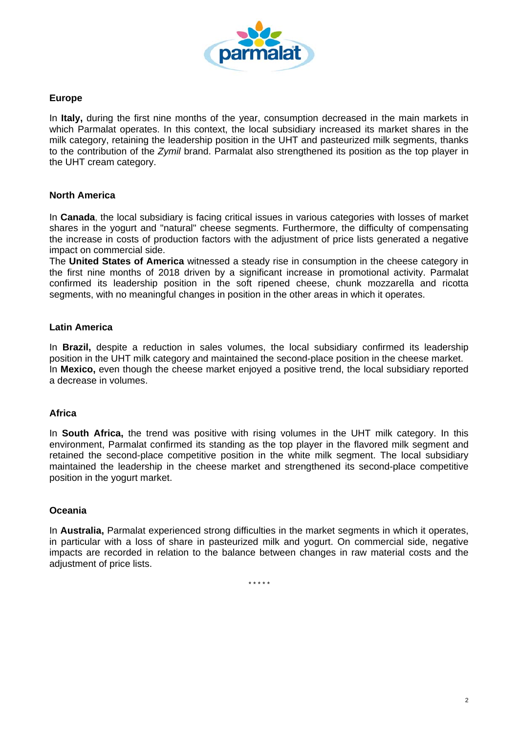

# **Europe**

In **Italy,** during the first nine months of the year, consumption decreased in the main markets in which Parmalat operates. In this context, the local subsidiary increased its market shares in the milk category, retaining the leadership position in the UHT and pasteurized milk segments, thanks to the contribution of the *Zymil* brand. Parmalat also strengthened its position as the top player in the UHT cream category.

## **North America**

In **Canada**, the local subsidiary is facing critical issues in various categories with losses of market shares in the yogurt and "natural" cheese segments. Furthermore, the difficulty of compensating the increase in costs of production factors with the adjustment of price lists generated a negative impact on commercial side.

The **United States of America** witnessed a steady rise in consumption in the cheese category in the first nine months of 2018 driven by a significant increase in promotional activity. Parmalat confirmed its leadership position in the soft ripened cheese, chunk mozzarella and ricotta segments, with no meaningful changes in position in the other areas in which it operates.

# **Latin America**

In **Brazil,** despite a reduction in sales volumes, the local subsidiary confirmed its leadership position in the UHT milk category and maintained the second-place position in the cheese market. In **Mexico,** even though the cheese market enjoyed a positive trend, the local subsidiary reported a decrease in volumes.

### **Africa**

In **South Africa,** the trend was positive with rising volumes in the UHT milk category. In this environment, Parmalat confirmed its standing as the top player in the flavored milk segment and retained the second-place competitive position in the white milk segment. The local subsidiary maintained the leadership in the cheese market and strengthened its second-place competitive position in the yogurt market.

### **Oceania**

In **Australia,** Parmalat experienced strong difficulties in the market segments in which it operates, in particular with a loss of share in pasteurized milk and yogurt. On commercial side, negative impacts are recorded in relation to the balance between changes in raw material costs and the adjustment of price lists.

*\* \* \* \* \**